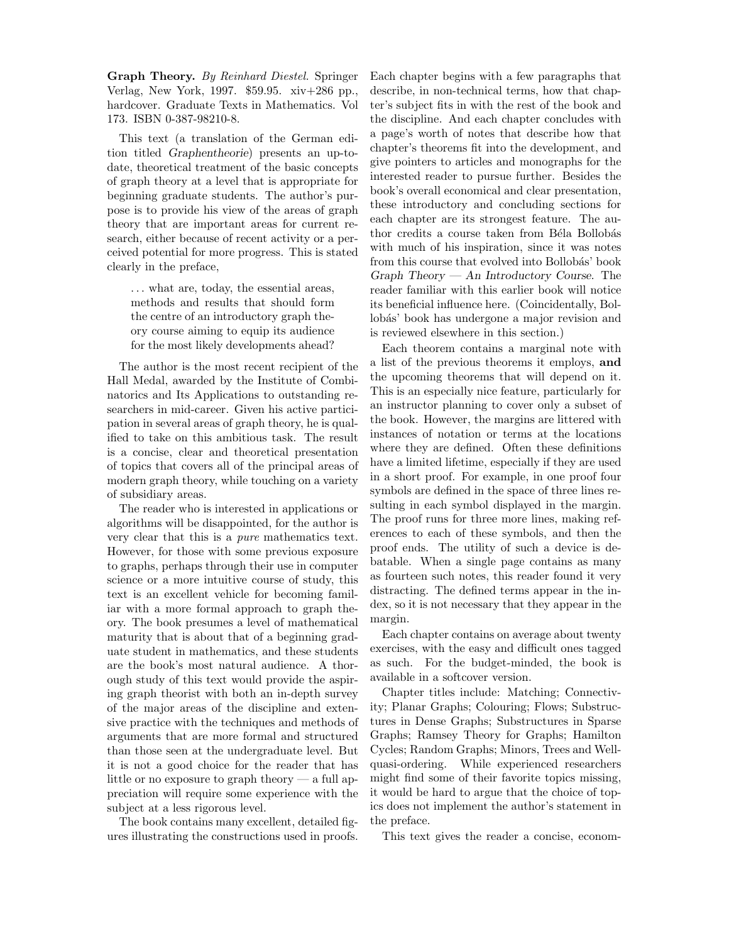Graph Theory. By Reinhard Diestel. Springer Verlag, New York, 1997. \$59.95. xiv+286 pp., hardcover. Graduate Texts in Mathematics. Vol 173. ISBN 0-387-98210-8.

This text (a translation of the German edition titled Graphentheorie) presents an up-todate, theoretical treatment of the basic concepts of graph theory at a level that is appropriate for beginning graduate students. The author's purpose is to provide his view of the areas of graph theory that are important areas for current research, either because of recent activity or a perceived potential for more progress. This is stated clearly in the preface,

. . . what are, today, the essential areas, methods and results that should form the centre of an introductory graph theory course aiming to equip its audience for the most likely developments ahead?

The author is the most recent recipient of the Hall Medal, awarded by the Institute of Combinatorics and Its Applications to outstanding researchers in mid-career. Given his active participation in several areas of graph theory, he is qualified to take on this ambitious task. The result is a concise, clear and theoretical presentation of topics that covers all of the principal areas of modern graph theory, while touching on a variety of subsidiary areas.

The reader who is interested in applications or algorithms will be disappointed, for the author is very clear that this is a pure mathematics text. However, for those with some previous exposure to graphs, perhaps through their use in computer science or a more intuitive course of study, this text is an excellent vehicle for becoming familiar with a more formal approach to graph theory. The book presumes a level of mathematical maturity that is about that of a beginning graduate student in mathematics, and these students are the book's most natural audience. A thorough study of this text would provide the aspiring graph theorist with both an in-depth survey of the major areas of the discipline and extensive practice with the techniques and methods of arguments that are more formal and structured than those seen at the undergraduate level. But it is not a good choice for the reader that has little or no exposure to graph theory — a full appreciation will require some experience with the subject at a less rigorous level.

The book contains many excellent, detailed figures illustrating the constructions used in proofs.

Each chapter begins with a few paragraphs that describe, in non-technical terms, how that chapter's subject fits in with the rest of the book and the discipline. And each chapter concludes with a page's worth of notes that describe how that chapter's theorems fit into the development, and give pointers to articles and monographs for the interested reader to pursue further. Besides the book's overall economical and clear presentation, these introductory and concluding sections for each chapter are its strongest feature. The author credits a course taken from Béla Bollobás with much of his inspiration, since it was notes from this course that evolved into Bollobás' book Graph Theory — An Introductory Course. The reader familiar with this earlier book will notice its beneficial influence here. (Coincidentally, Bollobás' book has undergone a major revision and is reviewed elsewhere in this section.)

Each theorem contains a marginal note with a list of the previous theorems it employs, and the upcoming theorems that will depend on it. This is an especially nice feature, particularly for an instructor planning to cover only a subset of the book. However, the margins are littered with instances of notation or terms at the locations where they are defined. Often these definitions have a limited lifetime, especially if they are used in a short proof. For example, in one proof four symbols are defined in the space of three lines resulting in each symbol displayed in the margin. The proof runs for three more lines, making references to each of these symbols, and then the proof ends. The utility of such a device is debatable. When a single page contains as many as fourteen such notes, this reader found it very distracting. The defined terms appear in the index, so it is not necessary that they appear in the margin.

Each chapter contains on average about twenty exercises, with the easy and difficult ones tagged as such. For the budget-minded, the book is available in a softcover version.

Chapter titles include: Matching; Connectivity; Planar Graphs; Colouring; Flows; Substructures in Dense Graphs; Substructures in Sparse Graphs; Ramsey Theory for Graphs; Hamilton Cycles; Random Graphs; Minors, Trees and Wellquasi-ordering. While experienced researchers might find some of their favorite topics missing, it would be hard to argue that the choice of topics does not implement the author's statement in the preface.

This text gives the reader a concise, econom-